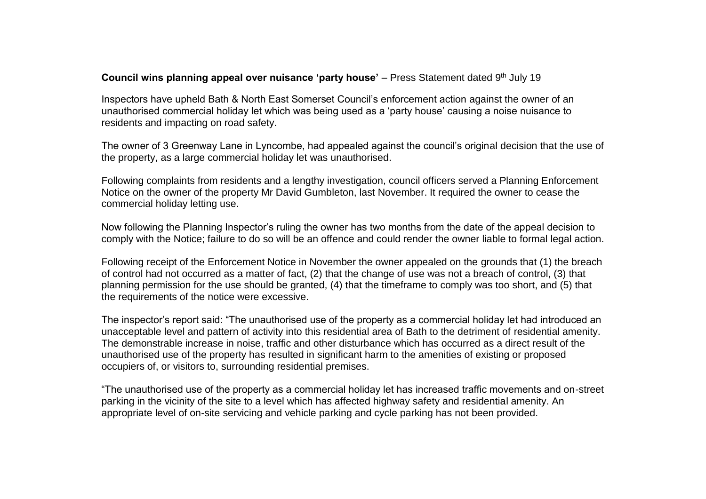## **Council wins planning appeal over nuisance 'party house'** – Press Statement dated 9<sup>th</sup> July 19

Inspectors have upheld Bath & North East Somerset Council's enforcement action against the owner of an unauthorised commercial holiday let which was being used as a 'party house' causing a noise nuisance to residents and impacting on road safety.

The owner of 3 Greenway Lane in Lyncombe, had appealed against the council's original decision that the use of the property, as a large commercial holiday let was unauthorised.

Following complaints from residents and a lengthy investigation, council officers served a Planning Enforcement Notice on the owner of the property Mr David Gumbleton, last November. It required the owner to cease the commercial holiday letting use.

Now following the Planning Inspector's ruling the owner has two months from the date of the appeal decision to comply with the Notice; failure to do so will be an offence and could render the owner liable to formal legal action.

Following receipt of the Enforcement Notice in November the owner appealed on the grounds that (1) the breach of control had not occurred as a matter of fact, (2) that the change of use was not a breach of control, (3) that planning permission for the use should be granted, (4) that the timeframe to comply was too short, and (5) that the requirements of the notice were excessive.

The inspector's report said: "The unauthorised use of the property as a commercial holiday let had introduced an unacceptable level and pattern of activity into this residential area of Bath to the detriment of residential amenity. The demonstrable increase in noise, traffic and other disturbance which has occurred as a direct result of the unauthorised use of the property has resulted in significant harm to the amenities of existing or proposed occupiers of, or visitors to, surrounding residential premises.

"The unauthorised use of the property as a commercial holiday let has increased traffic movements and on-street parking in the vicinity of the site to a level which has affected highway safety and residential amenity. An appropriate level of on-site servicing and vehicle parking and cycle parking has not been provided.